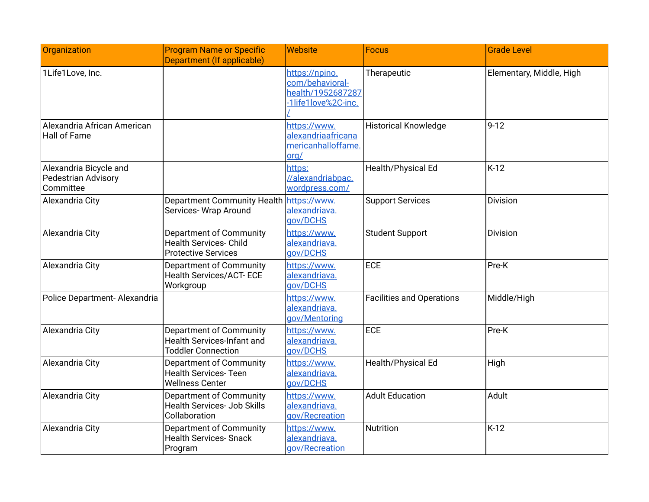| Organization                                                      | <b>Program Name or Specific</b><br>Department (If applicable)                             | <b>Website</b>                                                                | <b>Focus</b>                     | <b>Grade Level</b>       |
|-------------------------------------------------------------------|-------------------------------------------------------------------------------------------|-------------------------------------------------------------------------------|----------------------------------|--------------------------|
| 1Life1Love, Inc.                                                  |                                                                                           | https://npino.<br>com/behavioral-<br>health/1952687287<br>-1life1love%2C-inc. | Therapeutic                      | Elementary, Middle, High |
| Alexandria African American<br><b>Hall of Fame</b>                |                                                                                           | https://www.<br>alexandriaafricana<br>mericanhalloffame.<br>org/              | <b>Historical Knowledge</b>      | $9 - 12$                 |
| Alexandria Bicycle and<br><b>Pedestrian Advisory</b><br>Committee |                                                                                           | https:<br>//alexandriabpac.<br>wordpress.com/                                 | Health/Physical Ed               | $K-12$                   |
| Alexandria City                                                   | <b>Department Community Health</b><br>Services- Wrap Around                               | https://www.<br>alexandriava.<br>gov/DCHS                                     | <b>Support Services</b>          | <b>Division</b>          |
| Alexandria City                                                   | Department of Community<br><b>Health Services- Child</b><br><b>Protective Services</b>    | https://www.<br>alexandriava.<br>gov/DCHS                                     | <b>Student Support</b>           | Division                 |
| Alexandria City                                                   | Department of Community<br><b>Health Services/ACT-ECE</b><br>Workgroup                    | https://www.<br>alexandriava.<br>gov/DCHS                                     | <b>ECE</b>                       | Pre-K                    |
| Police Department-Alexandria                                      |                                                                                           | https://www.<br>alexandriava.<br>gov/Mentoring                                | <b>Facilities and Operations</b> | Middle/High              |
| Alexandria City                                                   | Department of Community<br><b>Health Services-Infant and</b><br><b>Toddler Connection</b> | https://www.<br>alexandriava.<br>gov/DCHS                                     | <b>ECE</b>                       | Pre-K                    |
| Alexandria City                                                   | Department of Community<br><b>Health Services-Teen</b><br><b>Wellness Center</b>          | https://www.<br>alexandriava.<br>gov/DCHS                                     | Health/Physical Ed               | High                     |
| Alexandria City                                                   | Department of Community<br><b>Health Services- Job Skills</b><br>Collaboration            | https://www.<br>alexandriava.<br>gov/Recreation                               | <b>Adult Education</b>           | Adult                    |
| Alexandria City                                                   | Department of Community<br><b>Health Services- Snack</b><br>Program                       | https://www.<br>alexandriava.<br>gov/Recreation                               | Nutrition                        | $K-12$                   |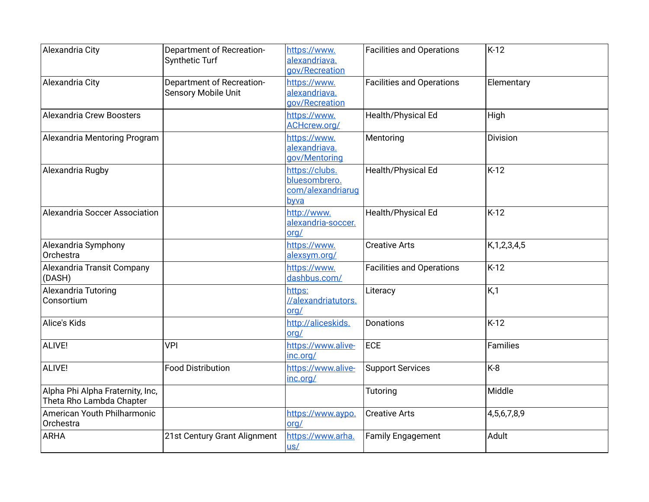| Alexandria City                                              | <b>Department of Recreation-</b><br>Synthetic Turf | https://www.<br>alexandriava.<br>gov/Recreation              | <b>Facilities and Operations</b> | $K-12$           |
|--------------------------------------------------------------|----------------------------------------------------|--------------------------------------------------------------|----------------------------------|------------------|
| Alexandria City                                              | Department of Recreation-<br>Sensory Mobile Unit   | https://www.<br>alexandriava.<br>gov/Recreation              | <b>Facilities and Operations</b> | Elementary       |
| Alexandria Crew Boosters                                     |                                                    | https://www.<br>ACHcrew.org/                                 | Health/Physical Ed               | High             |
| Alexandria Mentoring Program                                 |                                                    | https://www.<br>alexandriava.<br>gov/Mentoring               | Mentoring                        | <b>Division</b>  |
| Alexandria Rugby                                             |                                                    | https://clubs.<br>bluesombrero.<br>com/alexandriarug<br>byva | Health/Physical Ed               | K-12             |
| Alexandria Soccer Association                                |                                                    | http://www.<br>alexandria-soccer.<br>org/                    | Health/Physical Ed               | $K-12$           |
| Alexandria Symphony<br>Orchestra                             |                                                    | https://www.<br>alexsym.org/                                 | <b>Creative Arts</b>             | K, 1, 2, 3, 4, 5 |
| Alexandria Transit Company<br>(DASH)                         |                                                    | https://www.<br>dashbus.com/                                 | <b>Facilities and Operations</b> | $K-12$           |
| Alexandria Tutoring<br>Consortium                            |                                                    | https:<br>//alexandriatutors.<br>org/                        | Literacy                         | K,1              |
| Alice's Kids                                                 |                                                    | http://aliceskids.<br>org/                                   | <b>Donations</b>                 | K-12             |
| ALIVE!                                                       | <b>VPI</b>                                         | https://www.alive-<br>inc.org/                               | ECE                              | Families         |
| ALIVE!                                                       | <b>Food Distribution</b>                           | https://www.alive-<br>inc.org/                               | <b>Support Services</b>          | K-8              |
| Alpha Phi Alpha Fraternity, Inc,<br>Theta Rho Lambda Chapter |                                                    |                                                              | <b>Tutoring</b>                  | Middle           |
| American Youth Philharmonic<br>Orchestra                     |                                                    | https://www.aypo.<br>org/                                    | <b>Creative Arts</b>             | 4,5,6,7,8,9      |
| ARHA                                                         | 21st Century Grant Alignment                       | https://www.arha.<br>$us/$                                   | <b>Family Engagement</b>         | Adult            |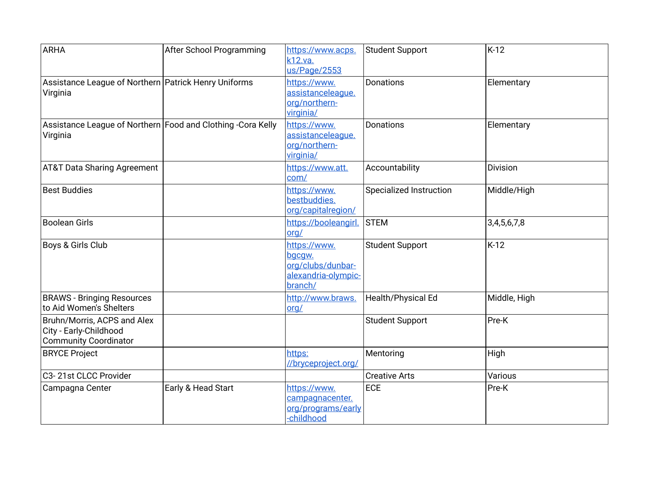| <b>ARHA</b>                                                                           | After School Programming | https://www.acps.<br>k12.va.<br>us/Page/2553                                  | <b>Student Support</b>         | $K-12$          |
|---------------------------------------------------------------------------------------|--------------------------|-------------------------------------------------------------------------------|--------------------------------|-----------------|
| Assistance League of Northern Patrick Henry Uniforms<br>Virginia                      |                          | https://www.<br>assistanceleaque.<br>org/northern-<br>virginia/               | <b>Donations</b>               | Elementary      |
| Assistance League of Northern Food and Clothing -Cora Kelly<br>Virginia               |                          | https://www.<br>assistanceleague.<br>org/northern-<br>virginia/               | <b>Donations</b>               | Elementary      |
| <b>AT&amp;T Data Sharing Agreement</b>                                                |                          | https://www.att.<br>com/                                                      | Accountability                 | <b>Division</b> |
| Best Buddies                                                                          |                          | https://www.<br>bestbuddies.<br>org/capitalregion/                            | <b>Specialized Instruction</b> | Middle/High     |
| <b>Boolean Girls</b>                                                                  |                          | https://booleangirl.<br>org/                                                  | <b>STEM</b>                    | 3,4,5,6,7,8     |
| Boys & Girls Club                                                                     |                          | https://www.<br>bgcgw.<br>org/clubs/dunbar-<br>alexandria-olympic-<br>branch/ | <b>Student Support</b>         | $K-12$          |
| <b>BRAWS - Bringing Resources</b><br>to Aid Women's Shelters                          |                          | http://www.braws.<br>org/                                                     | Health/Physical Ed             | Middle, High    |
| Bruhn/Morris, ACPS and Alex<br>City - Early-Childhood<br><b>Community Coordinator</b> |                          |                                                                               | <b>Student Support</b>         | Pre-K           |
| <b>BRYCE Project</b>                                                                  |                          | https:<br>//bryceproject.org/                                                 | Mentoring                      | High            |
| C3-21st CLCC Provider                                                                 |                          |                                                                               | <b>Creative Arts</b>           | Various         |
| Campagna Center                                                                       | Early & Head Start       | https://www.<br>campagnacenter.<br>org/programs/early<br>-childhood           | ECE                            | Pre-K           |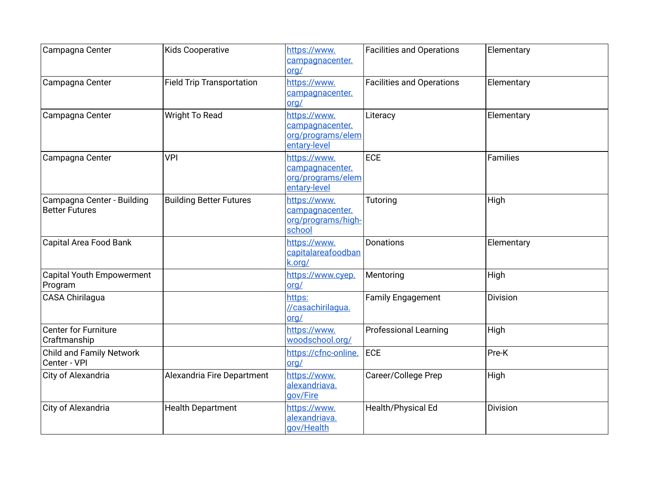| Campagna Center                                     | <b>Kids Cooperative</b>          | https://www.<br>campagnacenter.<br>org/                              | <b>Facilities and Operations</b> | Elementary      |
|-----------------------------------------------------|----------------------------------|----------------------------------------------------------------------|----------------------------------|-----------------|
| Campagna Center                                     | <b>Field Trip Transportation</b> | https://www.<br>campagnacenter.<br>org/                              | <b>Facilities and Operations</b> | Elementary      |
| Campagna Center                                     | <b>Wright To Read</b>            | https://www.<br>campagnacenter.<br>org/programs/elem<br>entary-level | Literacy                         | Elementary      |
| Campagna Center                                     | <b>VPI</b>                       | https://www.<br>campagnacenter.<br>org/programs/elem<br>entary-level | ECE                              | <b>Families</b> |
| Campagna Center - Building<br><b>Better Futures</b> | <b>Building Better Futures</b>   | https://www.<br>campagnacenter.<br>org/programs/high-<br>school      | Tutoring                         | High            |
| Capital Area Food Bank                              |                                  | https://www.<br>capitalareafoodban<br>k.org/                         | Donations                        | Elementary      |
| <b>Capital Youth Empowerment</b><br>Program         |                                  | https://www.cyep.<br>org/                                            | Mentoring                        | High            |
| <b>CASA Chirilagua</b>                              |                                  | https:<br>//casachirilagua.<br>org/                                  | <b>Family Engagement</b>         | Division        |
| <b>Center for Furniture</b><br>Craftmanship         |                                  | https://www.<br>woodschool.org/                                      | <b>Professional Learning</b>     | High            |
| <b>Child and Family Network</b><br>Center - VPI     |                                  | https://cfnc-online.<br>org/                                         | <b>ECE</b>                       | Pre-K           |
| City of Alexandria                                  | Alexandria Fire Department       | https://www.<br>alexandriava.<br>gov/Fire                            | Career/College Prep              | High            |
| City of Alexandria                                  | <b>Health Department</b>         | https://www.<br>alexandriava.<br>gov/Health                          | Health/Physical Ed               | <b>Division</b> |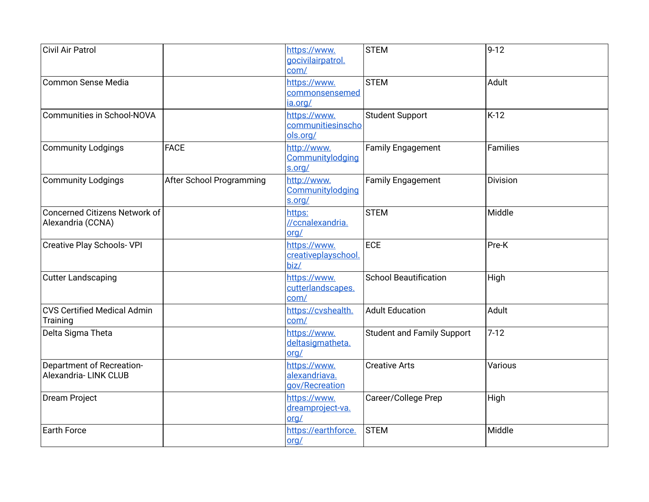| Civil Air Patrol                                   |                          | https://www.<br>gocivilairpatrol.<br>com/       | <b>STEM</b>                       | $9 - 12$ |
|----------------------------------------------------|--------------------------|-------------------------------------------------|-----------------------------------|----------|
| Common Sense Media                                 |                          | https://www.<br>commonsensemed<br>ia.org/       | <b>STEM</b>                       | Adult    |
| Communities in School-NOVA                         |                          | https://www.<br>communitiesinscho<br>ols.org/   | <b>Student Support</b>            | $K-12$   |
| Community Lodgings                                 | <b>FACE</b>              | http://www.<br>Communitylodging<br>s.org/       | <b>Family Engagement</b>          | Families |
| Community Lodgings                                 | After School Programming | http://www.<br>Communitylodging<br>s.org/       | <b>Family Engagement</b>          | Division |
| Concerned Citizens Network of<br>Alexandria (CCNA) |                          | https:<br>//ccnalexandria.<br>org/              | <b>STEM</b>                       | Middle   |
| <b>Creative Play Schools- VPI</b>                  |                          | https://www.<br>creativeplayschool.<br>biz/     | ECE                               | $Pre-K$  |
| <b>Cutter Landscaping</b>                          |                          | https://www.<br>cutterlandscapes.<br>com/       | <b>School Beautification</b>      | High     |
| CVS Certified Medical Admin<br>Training            |                          | https://cvshealth.<br>com/                      | <b>Adult Education</b>            | Adult    |
| Delta Sigma Theta                                  |                          | https://www.<br>deltasigmatheta.<br>org/        | <b>Student and Family Support</b> | $7 - 12$ |
| Department of Recreation-<br>Alexandria-LINK CLUB  |                          | https://www.<br>alexandriava.<br>gov/Recreation | <b>Creative Arts</b>              | Various  |
| Dream Project                                      |                          | https://www.<br>dreamproject-va.<br>org/        | Career/College Prep               | High     |
| <b>Earth Force</b>                                 |                          | https://earthforce.<br>org/                     | <b>STEM</b>                       | Middle   |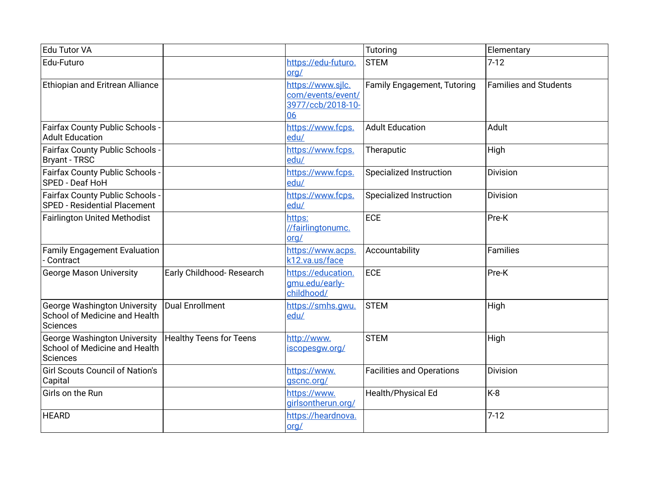| Edu Tutor VA                                                                            |                                |                                                                   | Tutoring                         | Elementary                   |
|-----------------------------------------------------------------------------------------|--------------------------------|-------------------------------------------------------------------|----------------------------------|------------------------------|
| Edu-Futuro                                                                              |                                | https://edu-futuro.<br>$\overline{\text{org}}$                    | <b>STEM</b>                      | $7-12$                       |
| Ethiopian and Eritrean Alliance                                                         |                                | https://www.sjlc.<br>com/events/event/<br>3977/ccb/2018-10-<br>06 | Family Engagement, Tutoring      | <b>Families and Students</b> |
| Fairfax County Public Schools -<br><b>Adult Education</b>                               |                                | https://www.fcps.<br>edu/                                         | <b>Adult Education</b>           | Adult                        |
| Fairfax County Public Schools -<br><b>Bryant - TRSC</b>                                 |                                | https://www.fcps.<br>edu/                                         | Theraputic                       | High                         |
| Fairfax County Public Schools -<br>SPED - Deaf HoH                                      |                                | https://www.fcps.<br>edu/                                         | <b>Specialized Instruction</b>   | Division                     |
| Fairfax County Public Schools -<br><b>SPED - Residential Placement</b>                  |                                | https://www.fcps.<br>edu/                                         | <b>Specialized Instruction</b>   | <b>Division</b>              |
| <b>Fairlington United Methodist</b>                                                     |                                | https:<br>//fairlingtonumc.<br>org/                               | ECE                              | Pre-K                        |
| <b>Family Engagement Evaluation</b><br>Contract                                         |                                | https://www.acps.<br>k12.va.us/face                               | Accountability                   | Families                     |
| <b>George Mason University</b>                                                          | Early Childhood-Research       | https://education.<br>gmu.edu/early-<br>childhood/                | ECE                              | Pre-K                        |
| <b>George Washington University</b><br>School of Medicine and Health<br><b>Sciences</b> | Dual Enrollment                | https://smhs.gwu.<br>edu/                                         | <b>STEM</b>                      | High                         |
| <b>George Washington University</b><br>School of Medicine and Health<br>Sciences        | <b>Healthy Teens for Teens</b> | http://www.<br>iscopesgw.org/                                     | <b>STEM</b>                      | High                         |
| <b>Girl Scouts Council of Nation's</b><br>Capital                                       |                                | https://www.<br>gscnc.org/                                        | <b>Facilities and Operations</b> | Division                     |
| Girls on the Run                                                                        |                                | https://www.<br>girlsontherun.org/                                | Health/Physical Ed               | K-8                          |
| <b>HEARD</b>                                                                            |                                | https://heardnova.<br>org/                                        |                                  | $7 - 12$                     |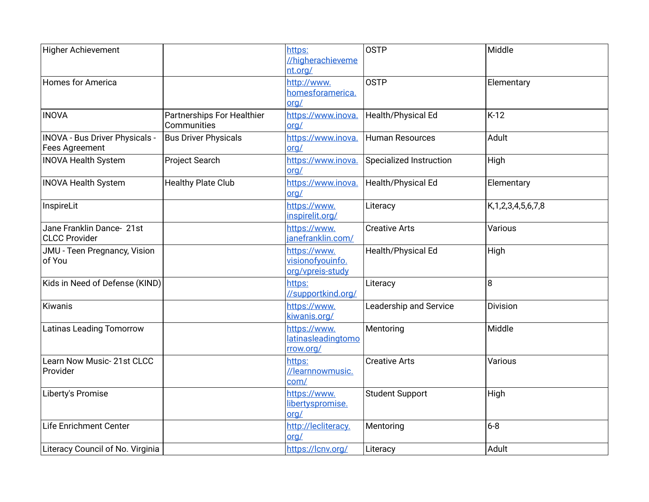| <b>Higher Achievement</b>                         |                                           | https:<br>//higherachieveme<br>nt.org/               | <b>OSTP</b>                   | Middle                    |
|---------------------------------------------------|-------------------------------------------|------------------------------------------------------|-------------------------------|---------------------------|
| Homes for America                                 |                                           | http://www.<br>homesforamerica.<br>org/              | <b>OSTP</b>                   | Elementary                |
| <b>INOVA</b>                                      | Partnerships For Healthier<br>Communities | https://www.inova.<br>org/                           | Health/Physical Ed            | $K-12$                    |
| INOVA - Bus Driver Physicals -<br>Fees Agreement  | <b>Bus Driver Physicals</b>               | https://www.inova.<br>org/                           | <b>Human Resources</b>        | Adult                     |
| <b>INOVA Health System</b>                        | Project Search                            | https://www.inova.<br>org/                           | Specialized Instruction       | High                      |
| <b>INOVA Health System</b>                        | <b>Healthy Plate Club</b>                 | https://www.inova.<br>$\text{ord}/$                  | Health/Physical Ed            | Elementary                |
| InspireLit                                        |                                           | https://www.<br>inspirelit.org/                      | Literacy                      | K, 1, 2, 3, 4, 5, 6, 7, 8 |
| Jane Franklin Dance- 21st<br><b>CLCC Provider</b> |                                           | https://www.<br>janefranklin.com/                    | <b>Creative Arts</b>          | Various                   |
| JMU - Teen Pregnancy, Vision<br>of You            |                                           | https://www.<br>visionofyouinfo.<br>org/vpreis-study | Health/Physical Ed            | High                      |
| Kids in Need of Defense (KIND)                    |                                           | https:<br>//supportkind.org/                         | Literacy                      | 8                         |
| Kiwanis                                           |                                           | https://www.<br>kiwanis.org/                         | <b>Leadership and Service</b> | Division                  |
| <b>Latinas Leading Tomorrow</b>                   |                                           | https://www.<br>latinasleadingtomo<br>rrow.org/      | Mentoring                     | Middle                    |
| Learn Now Music-21st CLCC<br>Provider             |                                           | https:<br>//learnnowmusic.<br>com/                   | <b>Creative Arts</b>          | Various                   |
| Liberty's Promise                                 |                                           | https://www.<br>libertyspromise.<br>org/             | <b>Student Support</b>        | High                      |
| Life Enrichment Center                            |                                           | http://lecliteracy.<br>org/                          | Mentoring                     | $6 - 8$                   |
| Literacy Council of No. Virginia                  |                                           | https://lcnv.org/                                    | Literacy                      | Adult                     |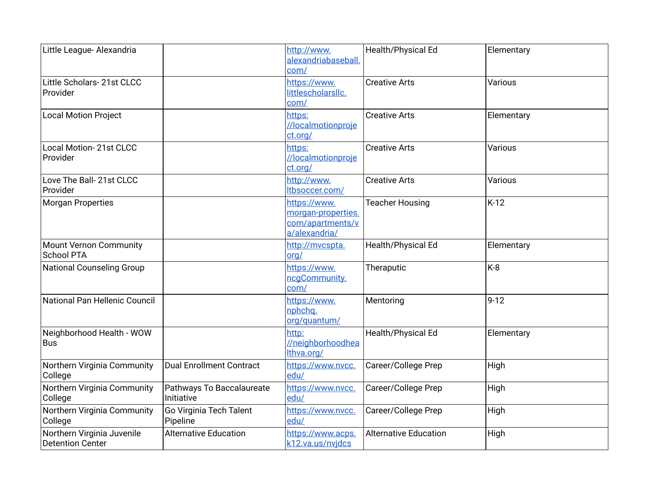| Little League- Alexandria                             |                                         | http://www.<br>alexandriabaseball.<br>com/                              | Health/Physical Ed           | Elementary |
|-------------------------------------------------------|-----------------------------------------|-------------------------------------------------------------------------|------------------------------|------------|
| Little Scholars- 21st CLCC<br>Provider                |                                         | https://www.<br>littlescholarsllc.<br>com/                              | <b>Creative Arts</b>         | Various    |
| <b>Local Motion Project</b>                           |                                         | https:<br>//localmotionproje<br>ct.org/                                 | <b>Creative Arts</b>         | Elementary |
| Local Motion-21st CLCC<br>Provider                    |                                         | https:<br>//localmotionproje<br>ct.org/                                 | <b>Creative Arts</b>         | Various    |
| Love The Ball-21st CLCC<br>Provider                   |                                         | http://www.<br>Itbsoccer.com/                                           | <b>Creative Arts</b>         | Various    |
| <b>Morgan Properties</b>                              |                                         | https://www.<br>morgan-properties.<br>com/apartments/v<br>a/alexandria/ | <b>Teacher Housing</b>       | $K-12$     |
| <b>Mount Vernon Community</b><br><b>School PTA</b>    |                                         | http://mvcspta.<br>org/                                                 | Health/Physical Ed           | Elementary |
| <b>National Counseling Group</b>                      |                                         | https://www.<br>ncgCommunity.<br>com/                                   | Theraputic                   | $K-8$      |
| National Pan Hellenic Council                         |                                         | https://www.<br>nphchq.<br>org/quantum/                                 | Mentoring                    | $9 - 12$   |
| Neighborhood Health - WOW<br><b>Bus</b>               |                                         | http:<br>//neighborhoodhea<br>Ithva.org/                                | Health/Physical Ed           | Elementary |
| Northern Virginia Community<br>College                | <b>Dual Enrollment Contract</b>         | https://www.nvcc.<br>edu/                                               | Career/College Prep          | High       |
| Northern Virginia Community<br>College                | Pathways To Baccalaureate<br>Initiative | https://www.nvcc.<br>edu/                                               | Career/College Prep          | High       |
| Northern Virginia Community<br>College                | Go Virginia Tech Talent<br>Pipeline     | https://www.nvcc.<br>edu/                                               | Career/College Prep          | High       |
| Northern Virginia Juvenile<br><b>Detention Center</b> | <b>Alternative Education</b>            | https://www.acps.<br>k12.va.us/nvjdcs                                   | <b>Alternative Education</b> | High       |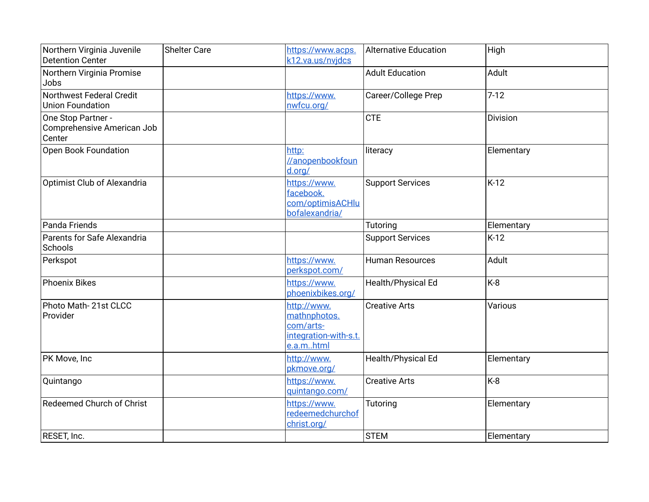| Northern Virginia Juvenile<br><b>Detention Center</b>      | <b>Shelter Care</b> | https://www.acps.<br>k12.va.us/nvjdcs                                          | <b>Alternative Education</b> | High       |
|------------------------------------------------------------|---------------------|--------------------------------------------------------------------------------|------------------------------|------------|
| Northern Virginia Promise<br>Jobs                          |                     |                                                                                | <b>Adult Education</b>       | Adult      |
| Northwest Federal Credit<br><b>Union Foundation</b>        |                     | https://www.<br>nwfcu.org/                                                     | Career/College Prep          | $7-12$     |
| One Stop Partner -<br>Comprehensive American Job<br>Center |                     |                                                                                | <b>CTE</b>                   | Division   |
| Open Book Foundation                                       |                     | http:<br>//anopenbookfoun<br>d.org/                                            | literacy                     | Elementary |
| Optimist Club of Alexandria                                |                     | https://www.<br>facebook.<br>com/optimisACHlu<br>bofalexandria/                | <b>Support Services</b>      | $K-12$     |
| Panda Friends                                              |                     |                                                                                | Tutoring                     | Elementary |
| Parents for Safe Alexandria<br>Schools                     |                     |                                                                                | <b>Support Services</b>      | $K-12$     |
| Perkspot                                                   |                     | https://www.<br>perkspot.com/                                                  | <b>Human Resources</b>       | Adult      |
| Phoenix Bikes                                              |                     | https://www.<br>phoenixbikes.org/                                              | Health/Physical Ed           | K-8        |
| Photo Math-21st CLCC<br>Provider                           |                     | http://www.<br>mathnphotos.<br>com/arts-<br>integration-with-s.t.<br>e.a.mhtml | <b>Creative Arts</b>         | Various    |
| PK Move, Inc                                               |                     | http://www.<br>pkmove.org/                                                     | Health/Physical Ed           | Elementary |
| Quintango                                                  |                     | https://www.<br>quintango.com/                                                 | <b>Creative Arts</b>         | K-8        |
| <b>Redeemed Church of Christ</b>                           |                     | https://www.<br>redeemedchurchof<br>christ.org/                                | Tutoring                     | Elementary |
| RESET, Inc.                                                |                     |                                                                                | <b>STEM</b>                  | Elementary |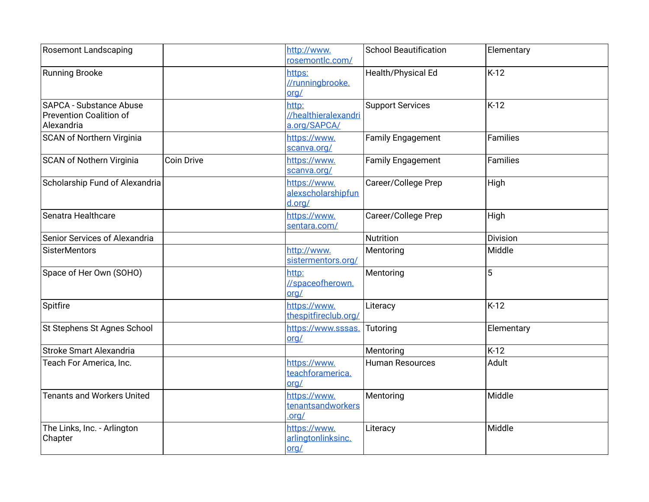| <b>Rosemont Landscaping</b>                                             |                   | http://www.<br>rosemontlc.com/                | <b>School Beautification</b> | Elementary      |
|-------------------------------------------------------------------------|-------------------|-----------------------------------------------|------------------------------|-----------------|
| Running Brooke                                                          |                   | https:<br>//runningbrooke.<br>org/            | Health/Physical Ed           | $K-12$          |
| SAPCA - Substance Abuse<br><b>Prevention Coalition of</b><br>Alexandria |                   | http:<br>//healthieralexandri<br>a.org/SAPCA/ | <b>Support Services</b>      | $K-12$          |
| <b>SCAN of Northern Virginia</b>                                        |                   | https://www.<br>scanva.org/                   | <b>Family Engagement</b>     | <b>Families</b> |
| SCAN of Nothern Virginia                                                | <b>Coin Drive</b> | https://www.<br>scanva.org/                   | <b>Family Engagement</b>     | Families        |
| Scholarship Fund of Alexandria                                          |                   | https://www.<br>alexscholarshipfun<br>d.org/  | Career/College Prep          | High            |
| Senatra Healthcare                                                      |                   | https://www.<br>sentara.com/                  | Career/College Prep          | High            |
| Senior Services of Alexandria                                           |                   |                                               | Nutrition                    | Division        |
| <b>SisterMentors</b>                                                    |                   | http://www.<br>sistermentors.org/             | Mentoring                    | Middle          |
| Space of Her Own (SOHO)                                                 |                   | http:<br>//spaceofherown.<br>org/             | Mentoring                    | 5               |
| Spitfire                                                                |                   | https://www.<br>thespitfireclub.org/          | Literacy                     | $K-12$          |
| St Stephens St Agnes School                                             |                   | https://www.sssas.<br>org/                    | Tutoring                     | Elementary      |
| Stroke Smart Alexandria                                                 |                   |                                               | Mentoring                    | $K-12$          |
| Teach For America, Inc.                                                 |                   | https://www.<br>teachforamerica.<br>org/      | <b>Human Resources</b>       | Adult           |
| <b>Tenants and Workers United</b>                                       |                   | https://www.<br>tenantsandworkers<br>.org/    | Mentoring                    | Middle          |
| The Links, Inc. - Arlington<br>Chapter                                  |                   | https://www.<br>arlingtonlinksinc.<br>org/    | Literacy                     | Middle          |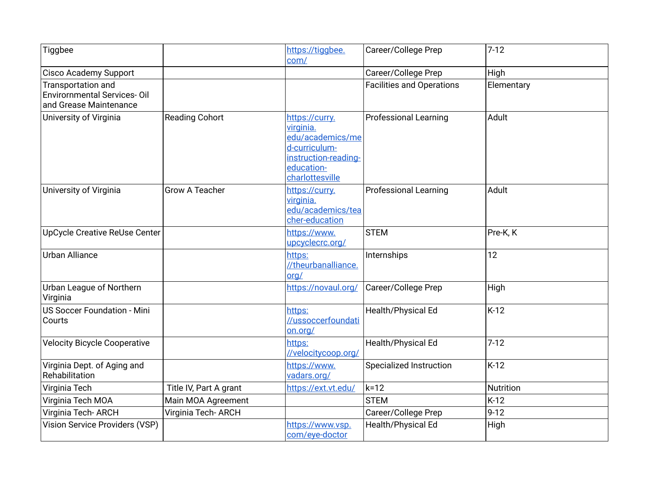| Tiggbee                                                                            |                        | https://tiggbee.<br>com/                                                                                                  | Career/College Prep              | $7-12$     |
|------------------------------------------------------------------------------------|------------------------|---------------------------------------------------------------------------------------------------------------------------|----------------------------------|------------|
| <b>Cisco Academy Support</b>                                                       |                        |                                                                                                                           | Career/College Prep              | High       |
| Transportation and<br><b>Envirornmental Services-Oil</b><br>and Grease Maintenance |                        |                                                                                                                           | <b>Facilities and Operations</b> | Elementary |
| University of Virginia                                                             | <b>Reading Cohort</b>  | https://curry.<br>virginia.<br>edu/academics/me<br>d-curriculum-<br>instruction-reading-<br>education-<br>charlottesville | <b>Professional Learning</b>     | Adult      |
| University of Virginia                                                             | <b>Grow A Teacher</b>  | https://curry.<br>virginia.<br>edu/academics/tea<br>cher-education                                                        | <b>Professional Learning</b>     | Adult      |
| UpCycle Creative ReUse Center                                                      |                        | https://www.<br>upcyclecrc.org/                                                                                           | <b>STEM</b>                      | Pre-K, K   |
| <b>Urban Alliance</b>                                                              |                        | https:<br>//theurbanalliance.<br>org/                                                                                     | Internships                      | 12         |
| Urban League of Northern<br>Virginia                                               |                        | https://novaul.org/                                                                                                       | Career/College Prep              | High       |
| <b>US Soccer Foundation - Mini</b><br>Courts                                       |                        | https:<br>//ussoccerfoundati<br>on.org/                                                                                   | Health/Physical Ed               | K-12       |
| <b>Velocity Bicycle Cooperative</b>                                                |                        | https:<br>//velocitycoop.org/                                                                                             | Health/Physical Ed               | $7 - 12$   |
| Virginia Dept. of Aging and<br>Rehabilitation                                      |                        | https://www.<br>vadars.org/                                                                                               | <b>Specialized Instruction</b>   | $K-12$     |
| Virginia Tech                                                                      | Title IV, Part A grant | https://ext.vt.edu/                                                                                                       | $k=12$                           | Nutrition  |
| Virginia Tech MOA                                                                  | Main MOA Agreement     |                                                                                                                           | <b>STEM</b>                      | $K-12$     |
| Virginia Tech-ARCH                                                                 | Virginia Tech- ARCH    |                                                                                                                           | Career/College Prep              | $9-12$     |
| Vision Service Providers (VSP)                                                     |                        | https://www.vsp.<br>com/eye-doctor                                                                                        | Health/Physical Ed               | High       |